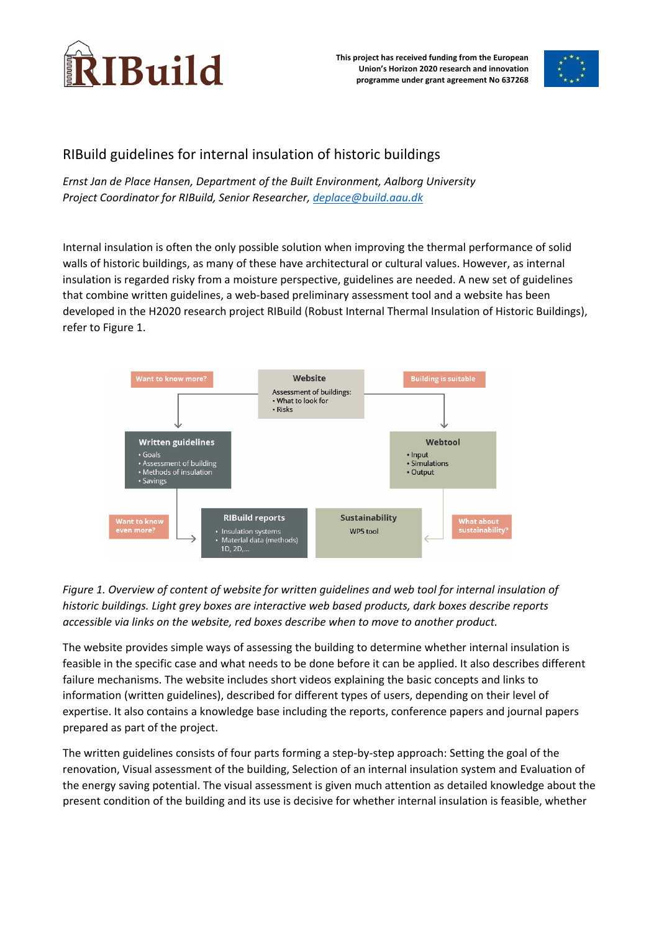

**This project has received funding from the European Union's Horizon 2020 research and innovation programme under grant agreement No 637268**



## RIBuild guidelines for internal insulation of historic buildings

*Ernst Jan de Place Hansen, Department of the Built Environment, Aalborg University Project Coordinator for RIBuild, Senior Researcher, deplace@build.aau.dk*

Internal insulation is often the only possible solution when improving the thermal performance of solid walls of historic buildings, as many of these have architectural or cultural values. However, as internal insulation is regarded risky from a moisture perspective, guidelines are needed. A new set of guidelines that combine written guidelines, a web-based preliminary assessment tool and a website has been developed in the H2020 research project RIBuild (Robust Internal Thermal Insulation of Historic Buildings), refer to Figure 1.



## *Figure 1. Overview of content of website for written guidelines and web tool for internal insulation of historic buildings. Light grey boxes are interactive web based products, dark boxes describe reports accessible via links on the website, red boxes describe when to move to another product.*

The website provides simple ways of assessing the building to determine whether internal insulation is feasible in the specific case and what needs to be done before it can be applied. It also describes different failure mechanisms. The website includes short videos explaining the basic concepts and links to information (written guidelines), described for different types of users, depending on their level of expertise. It also contains a knowledge base including the reports, conference papers and journal papers prepared as part of the project.

The written guidelines consists of four parts forming a step‐by‐step approach: Setting the goal of the renovation, Visual assessment of the building, Selection of an internal insulation system and Evaluation of the energy saving potential. The visual assessment is given much attention as detailed knowledge about the present condition of the building and its use is decisive for whether internal insulation is feasible, whether